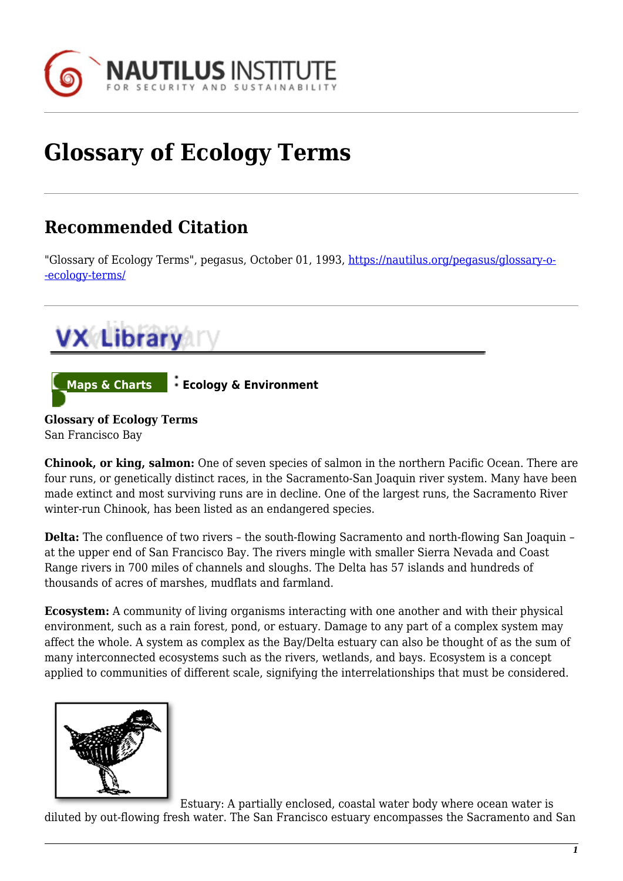

## **Glossary of Ecology Terms**

## **Recommended Citation**

"Glossary of Ecology Terms", pegasus, October 01, 1993, [https://nautilus.org/pegasus/glossary-o-](https://nautilus.org/pegasus/glossary-of-ecology-terms/) [-ecology-terms/](https://nautilus.org/pegasus/glossary-of-ecology-terms/)



San Francisco Bay

**Chinook, or king, salmon:** One of seven species of salmon in the northern Pacific Ocean. There are four runs, or genetically distinct races, in the Sacramento-San Joaquin river system. Many have been made extinct and most surviving runs are in decline. One of the largest runs, the Sacramento River winter-run Chinook, has been listed as an endangered species.

**Delta:** The confluence of two rivers – the south-flowing Sacramento and north-flowing San Joaquin – at the upper end of San Francisco Bay. The rivers mingle with smaller Sierra Nevada and Coast Range rivers in 700 miles of channels and sloughs. The Delta has 57 islands and hundreds of thousands of acres of marshes, mudflats and farmland.

**Ecosystem:** A community of living organisms interacting with one another and with their physical environment, such as a rain forest, pond, or estuary. Damage to any part of a complex system may affect the whole. A system as complex as the Bay/Delta estuary can also be thought of as the sum of many interconnected ecosystems such as the rivers, wetlands, and bays. Ecosystem is a concept applied to communities of different scale, signifying the interrelationships that must be considered.



Estuary: A partially enclosed, coastal water body where ocean water is diluted by out-flowing fresh water. The San Francisco estuary encompasses the Sacramento and San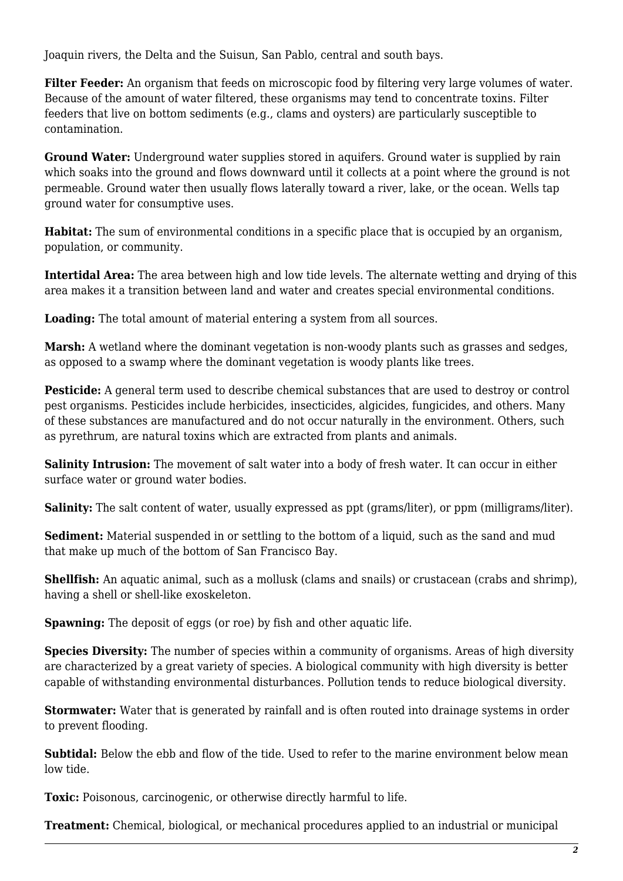Joaquin rivers, the Delta and the Suisun, San Pablo, central and south bays.

**Filter Feeder:** An organism that feeds on microscopic food by filtering very large volumes of water. Because of the amount of water filtered, these organisms may tend to concentrate toxins. Filter feeders that live on bottom sediments (e.g., clams and oysters) are particularly susceptible to contamination.

**Ground Water:** Underground water supplies stored in aquifers. Ground water is supplied by rain which soaks into the ground and flows downward until it collects at a point where the ground is not permeable. Ground water then usually flows laterally toward a river, lake, or the ocean. Wells tap ground water for consumptive uses.

**Habitat:** The sum of environmental conditions in a specific place that is occupied by an organism, population, or community.

**Intertidal Area:** The area between high and low tide levels. The alternate wetting and drying of this area makes it a transition between land and water and creates special environmental conditions.

**Loading:** The total amount of material entering a system from all sources.

**Marsh:** A wetland where the dominant vegetation is non-woody plants such as grasses and sedges, as opposed to a swamp where the dominant vegetation is woody plants like trees.

**Pesticide:** A general term used to describe chemical substances that are used to destroy or control pest organisms. Pesticides include herbicides, insecticides, algicides, fungicides, and others. Many of these substances are manufactured and do not occur naturally in the environment. Others, such as pyrethrum, are natural toxins which are extracted from plants and animals.

**Salinity Intrusion:** The movement of salt water into a body of fresh water. It can occur in either surface water or ground water bodies.

**Salinity:** The salt content of water, usually expressed as ppt (grams/liter), or ppm (milligrams/liter).

**Sediment:** Material suspended in or settling to the bottom of a liquid, such as the sand and mud that make up much of the bottom of San Francisco Bay.

**Shellfish:** An aquatic animal, such as a mollusk (clams and snails) or crustacean (crabs and shrimp), having a shell or shell-like exoskeleton.

**Spawning:** The deposit of eggs (or roe) by fish and other aquatic life.

**Species Diversity:** The number of species within a community of organisms. Areas of high diversity are characterized by a great variety of species. A biological community with high diversity is better capable of withstanding environmental disturbances. Pollution tends to reduce biological diversity.

**Stormwater:** Water that is generated by rainfall and is often routed into drainage systems in order to prevent flooding.

**Subtidal:** Below the ebb and flow of the tide. Used to refer to the marine environment below mean low tide.

**Toxic:** Poisonous, carcinogenic, or otherwise directly harmful to life.

**Treatment:** Chemical, biological, or mechanical procedures applied to an industrial or municipal